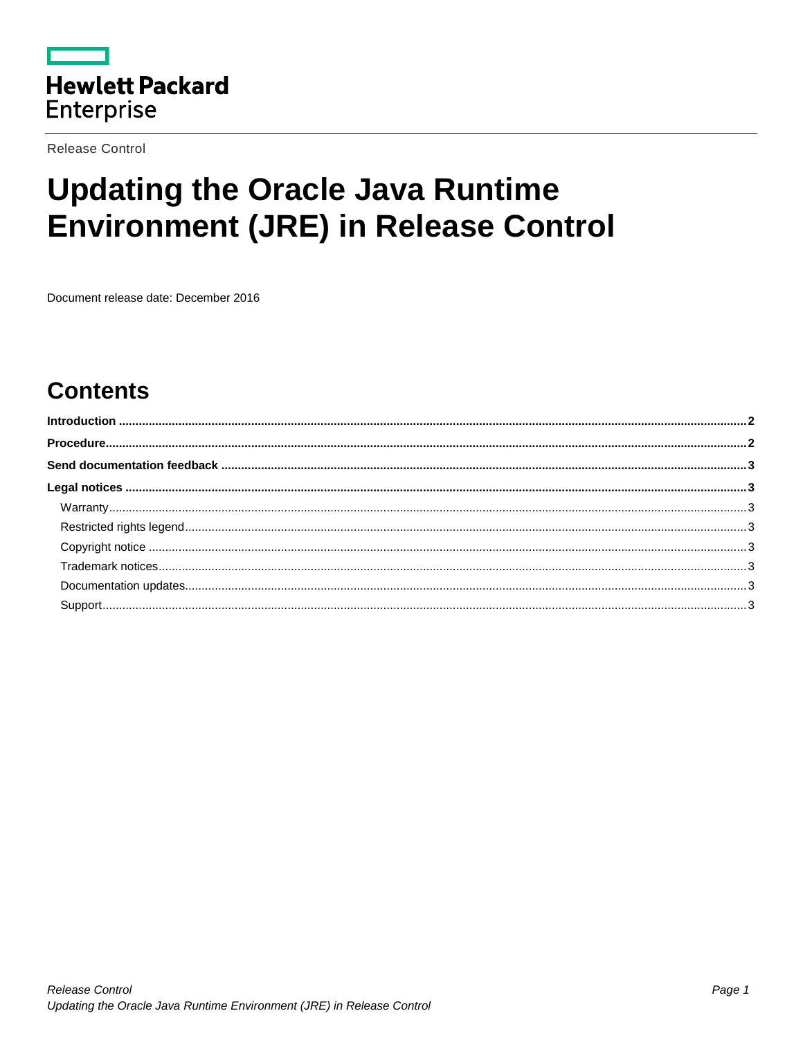

**Release Control** 

# **Updating the Oracle Java Runtime Environment (JRE) in Release Control**

Document release date: December 2016

## **Contents**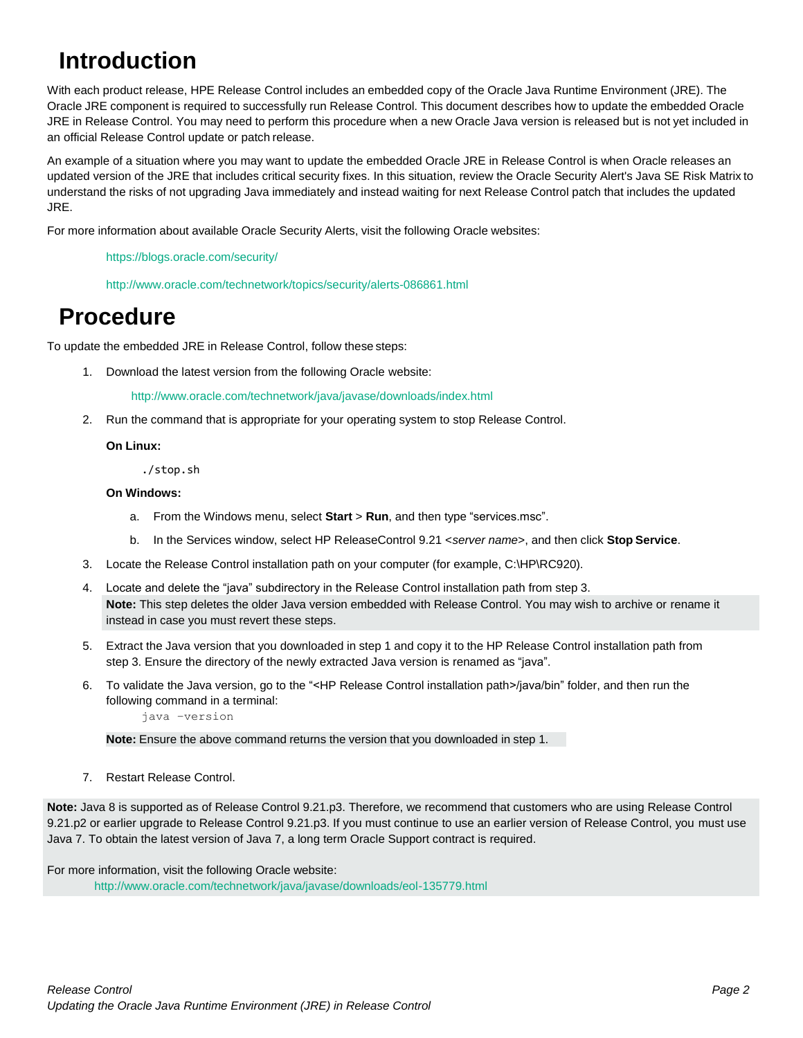## <span id="page-1-0"></span>**Introduction**

With each product release, HPE Release Control includes an embedded copy of the Oracle Java Runtime Environment (JRE). The Oracle JRE component is required to successfully run Release Control. This document describes how to update the embedded Oracle JRE in Release Control. You may need to perform this procedure when a new Oracle Java version is released but is not yet included in an official Release Control update or patch release.

An example of a situation where you may want to update the embedded Oracle JRE in Release Control is when Oracle releases an updated version of the JRE that includes critical security fixes. In this situation, review the Oracle Security Alert's Java SE Risk Matrix to understand the risks of not upgrading Java immediately and instead waiting for next Release Control patch that includes the updated JRE.

For more information about available Oracle Security Alerts, visit the following Oracle websites:

<https://blogs.oracle.com/security/>

<http://www.oracle.com/technetwork/topics/security/alerts-086861.html>

### <span id="page-1-1"></span>**Procedure**

To update the embedded JRE in Release Control, follow these steps:

1. Download the latest version from the following Oracle website:

<http://www.oracle.com/technetwork/java/javase/downloads/index.html>

2. Run the command that is appropriate for your operating system to stop Release Control.

#### **On Linux:**

./stop.sh

#### **On Windows:**

- a. From the Windows menu, select **Start** > **Run**, and then type "services.msc".
- b. In the Services window, select HP ReleaseControl 9.21 <*server name*>, and then click **Stop Service**.
- 3. Locate the Release Control installation path on your computer (for example, C:\HP\RC920).
- 4. Locate and delete the "java" subdirectory in the Release Control installation path from step 3. **Note:** This step deletes the older Java version embedded with Release Control. You may wish to archive or rename it instead in case you must revert these steps.
- 5. Extract the Java version that you downloaded in step 1 and copy it to the HP Release Control installation path from step 3. Ensure the directory of the newly extracted Java version is renamed as "java".
- 6. To validate the Java version, go to the "<HP Release Control installation path>/java/bin" folder, and then run the following command in a terminal:

java –version

**Note:** Ensure the above command returns the version that you downloaded in step 1.

7. Restart Release Control.

**Note:** Java 8 is supported as of Release Control 9.21.p3. Therefore, we recommend that customers who are using Release Control 9.21.p2 or earlier upgrade to Release Control 9.21.p3. If you must continue to use an earlier version of Release Control, you must use Java 7. To obtain the latest version of Java 7, a long term Oracle Support contract is required.

For more information, visit the following Oracle website: <http://www.oracle.com/technetwork/java/javase/downloads/eol-135779.html>